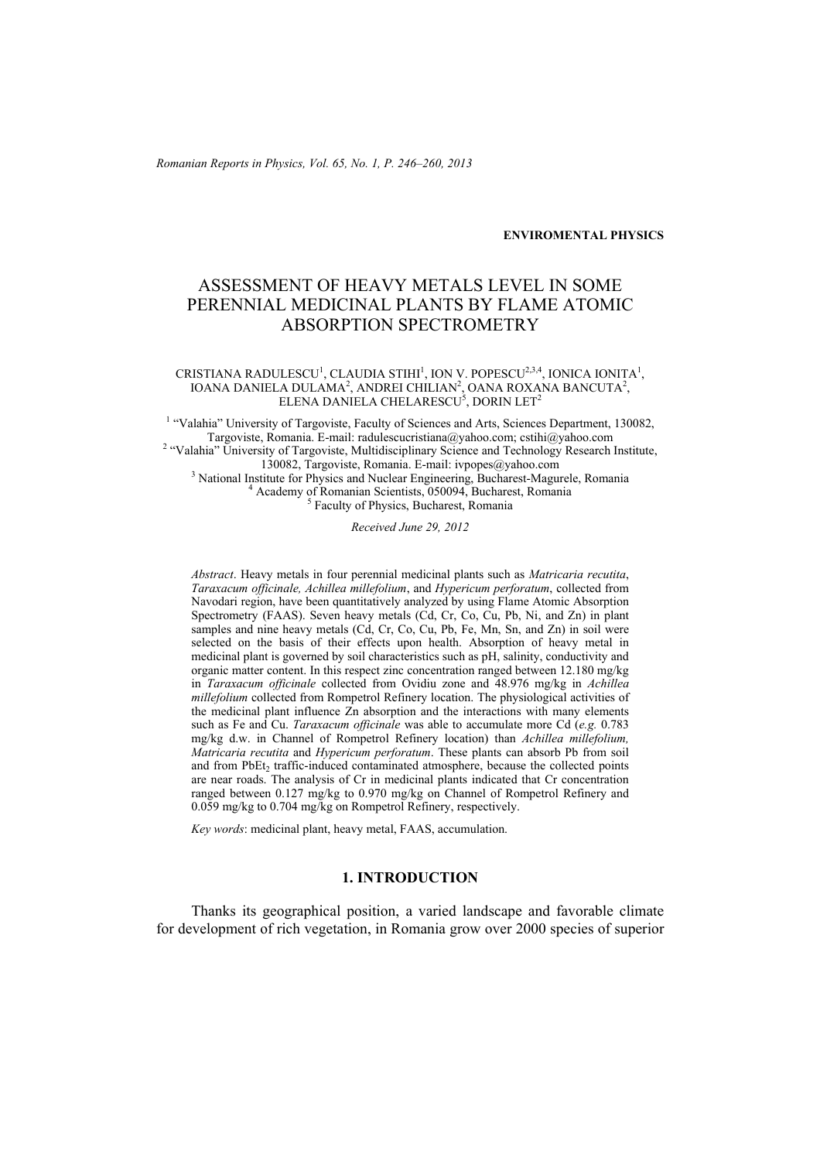*Romanian Reports in Physics, Vol. 65, No. 1, P. 246–260, 2013*

**ENVIROMENTAL PHYSICS**

# ASSESSMENT OF HEAVY METALS LEVEL IN SOME PERENNIAL MEDICINAL PLANTS BY FLAME ATOMIC ABSORPTION SPECTROMETRY

#### CRISTIANA RADULESCU<sup>1</sup>, CLAUDIA STIHI<sup>1</sup>, ION V. POPESCU<sup>2,3,4</sup>, IONICA IONITA<sup>1</sup>, IOANA DANIELA DULAMA<sup>2</sup>, ANDREI CHILIAN<sup>2</sup>, OANA ROXANA BANCUTA<sup>2</sup>, ELENA DANIELA CHELARESCU $\rm ^5$ , DORIN LET $\rm ^2$

<sup>1</sup> "Valahia" University of Targoviste, Faculty of Sciences and Arts, Sciences Department, 130082, Targoviste, Romania. E-mail: radulescucristiana@yahoo.com; cstihi@yahoo.com 2 <sup>2</sup> "Valahia" University of Targoviste, Multidisciplinary Science and Technology Research Institute, 130082. Targoviste, Romania, E-mail: ivpopes@vahoo.com 130082, Targoviste, Romania. E-mail: ivpopes@yahoo.com<br><sup>3</sup> Netional Institute for Physics and Nueleer Engineering. Bucharget Magu National Institute for Physics and Nuclear Engineering, Bucharest-Magurele, Romania 4 Academy of Romanian Scientists, 050094, Bucharest, Romania  $\frac{5}{5}$  Faculty of Physics, Bucharest, Romania

*Received June 29, 2012* 

*Abstract*. Heavy metals in four perennial medicinal plants such as *Matricaria recutita*, *Taraxacum officinale, Achillea millefolium*, and *Hypericum perforatum*, collected from Navodari region, have been quantitatively analyzed by using Flame Atomic Absorption Spectrometry (FAAS). Seven heavy metals (Cd, Cr, Co, Cu, Pb, Ni, and Zn) in plant samples and nine heavy metals (Cd, Cr, Co, Cu, Pb, Fe, Mn, Sn, and Zn) in soil were selected on the basis of their effects upon health. Absorption of heavy metal in medicinal plant is governed by soil characteristics such as pH, salinity, conductivity and organic matter content. In this respect zinc concentration ranged between 12.180 mg/kg in *Taraxacum officinale* collected from Ovidiu zone and 48.976 mg/kg in *Achillea millefolium* collected from Rompetrol Refinery location. The physiological activities of the medicinal plant influence Zn absorption and the interactions with many elements such as Fe and Cu. *Taraxacum officinale* was able to accumulate more Cd (*e.g.* 0.783 mg/kg d.w. in Channel of Rompetrol Refinery location) than *Achillea millefolium, Matricaria recutita* and *Hypericum perforatum*. These plants can absorb Pb from soil and from PbEt<sub>2</sub> traffic-induced contaminated atmosphere, because the collected points are near roads. The analysis of Cr in medicinal plants indicated that Cr concentration ranged between 0.127 mg/kg to 0.970 mg/kg on Channel of Rompetrol Refinery and 0.059 mg/kg to 0.704 mg/kg on Rompetrol Refinery, respectively.

*Key words*: medicinal plant, heavy metal, FAAS, accumulation.

## **1. INTRODUCTION**

Thanks its geographical position, a varied landscape and favorable climate for development of rich vegetation, in Romania grow over 2000 species of superior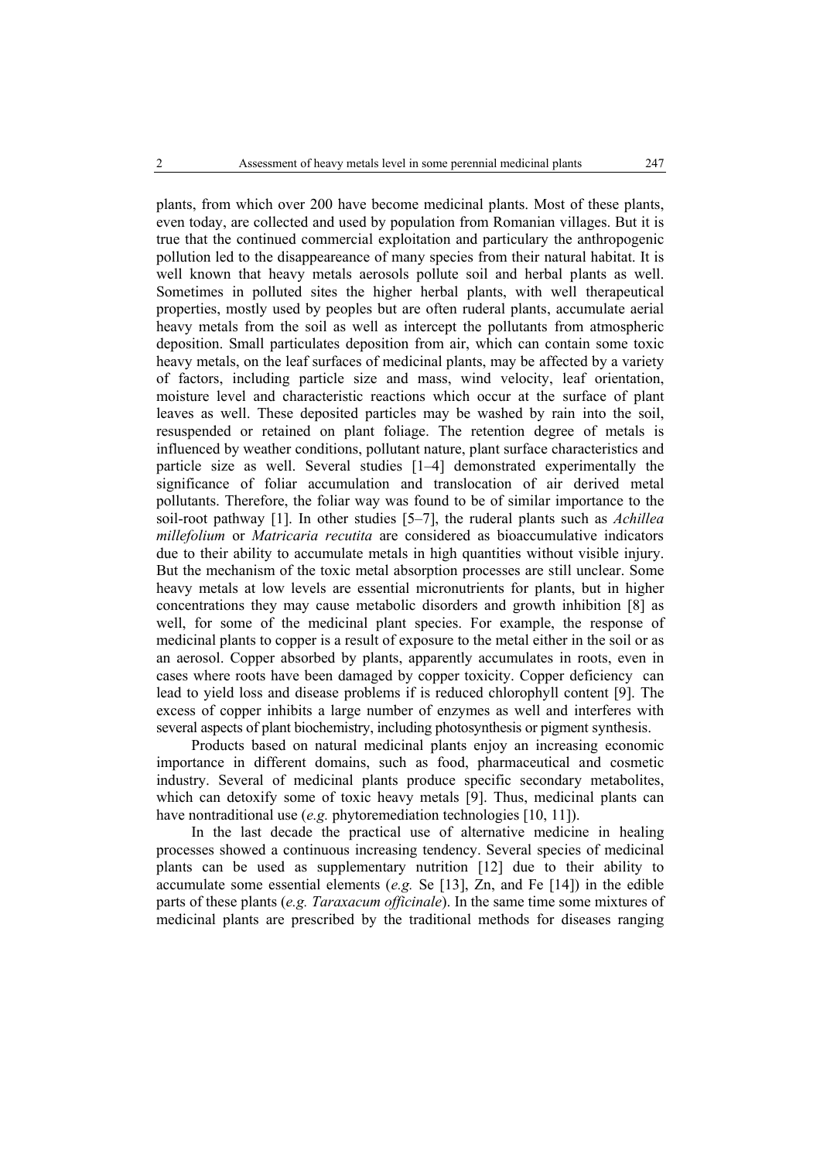plants, from which over 200 have become medicinal plants. Most of these plants, even today, are collected and used by population from Romanian villages. But it is true that the continued commercial exploitation and particulary the anthropogenic pollution led to the disappeareance of many species from their natural habitat. It is well known that heavy metals aerosols pollute soil and herbal plants as well. Sometimes in polluted sites the higher herbal plants, with well therapeutical properties, mostly used by peoples but are often ruderal plants, accumulate aerial heavy metals from the soil as well as intercept the pollutants from atmospheric deposition. Small particulates deposition from air, which can contain some toxic heavy metals, on the leaf surfaces of medicinal plants, may be affected by a variety of factors, including particle size and mass, wind velocity, leaf orientation, moisture level and characteristic reactions which occur at the surface of plant leaves as well. These deposited particles may be washed by rain into the soil, resuspended or retained on plant foliage. The retention degree of metals is influenced by weather conditions, pollutant nature, plant surface characteristics and particle size as well. Several studies [1–4] demonstrated experimentally the significance of foliar accumulation and translocation of air derived metal pollutants. Therefore, the foliar way was found to be of similar importance to the soil-root pathway [1]. In other studies [5–7], the ruderal plants such as *Achillea millefolium* or *Matricaria recutita* are considered as bioaccumulative indicators due to their ability to accumulate metals in high quantities without visible injury. But the mechanism of the toxic metal absorption processes are still unclear. Some heavy metals at low levels are essential micronutrients for plants, but in higher concentrations they may cause metabolic disorders and growth inhibition [8] as well, for some of the medicinal plant species. For example, the response of medicinal plants to copper is a result of exposure to the metal either in the soil or as an aerosol. Copper absorbed by plants, apparently accumulates in roots, even in cases where roots have been damaged by copper toxicity. Copper deficiency can lead to yield loss and disease problems if is reduced chlorophyll content [9]. The excess of copper inhibits a large number of enzymes as well and interferes with several aspects of plant biochemistry, including photosynthesis or pigment synthesis.

Products based on natural medicinal plants enjoy an increasing economic importance in different domains, such as food, pharmaceutical and cosmetic industry. Several of medicinal plants produce specific secondary metabolites, which can detoxify some of toxic heavy metals [9]. Thus, medicinal plants can have nontraditional use (*e.g.* phytoremediation technologies [10, 11]).

In the last decade the practical use of alternative medicine in healing processes showed a continuous increasing tendency. Several species of medicinal plants can be used as supplementary nutrition [12] due to their ability to accumulate some essential elements (*e.g.* Se [13], Zn, and Fe [14]) in the edible parts of these plants (*e.g. Taraxacum officinale*). In the same time some mixtures of medicinal plants are prescribed by the traditional methods for diseases ranging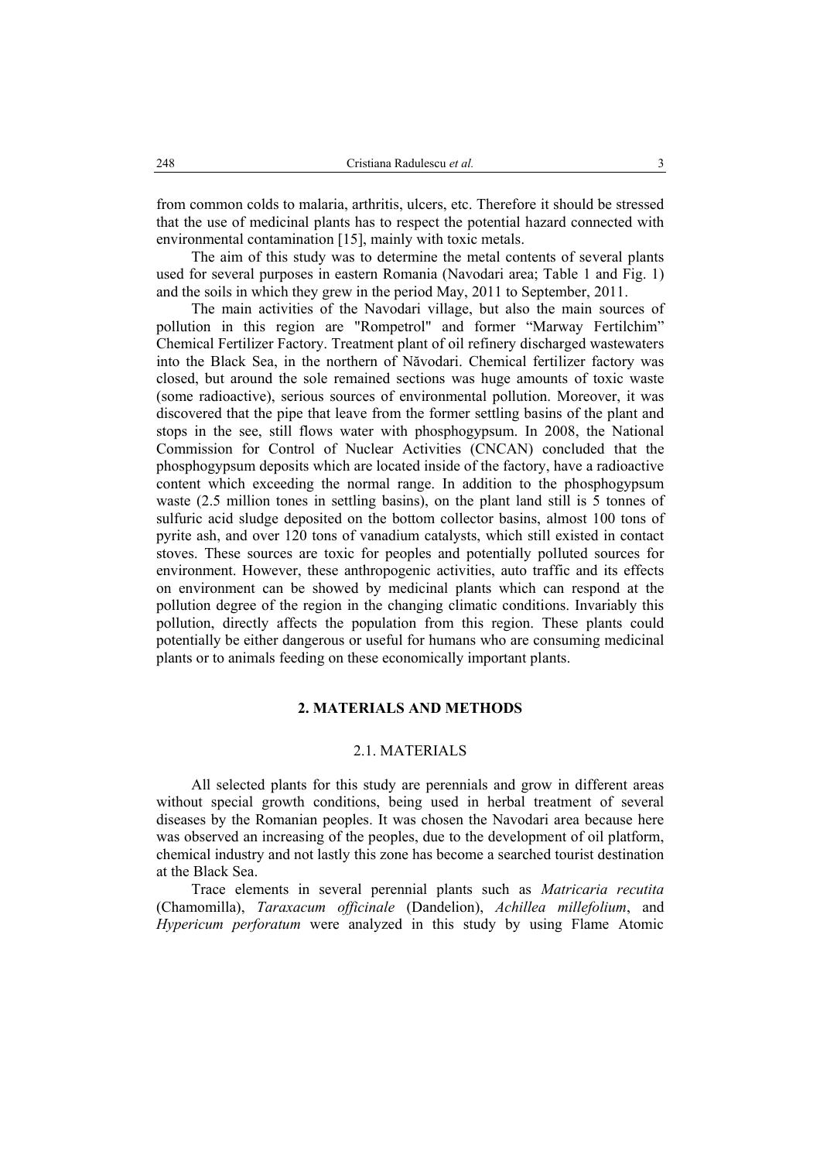from common colds to malaria, arthritis, ulcers, etc. Therefore it should be stressed that the use of medicinal plants has to respect the potential hazard connected with environmental contamination [15], mainly with toxic metals.

The aim of this study was to determine the metal contents of several plants used for several purposes in eastern Romania (Navodari area; Table 1 and Fig. 1) and the soils in which they grew in the period May, 2011 to September, 2011.

The main activities of the Navodari village, but also the main sources of pollution in this region are "Rompetrol" and former "Marway Fertilchim" Chemical Fertilizer Factory. Treatment plant of oil refinery discharged wastewaters into the Black Sea, in the northern of Năvodari. Chemical fertilizer factory was closed, but around the sole remained sections was huge amounts of toxic waste (some radioactive), serious sources of environmental pollution. Moreover, it was discovered that the pipe that leave from the former settling basins of the plant and stops in the see, still flows water with phosphogypsum. In 2008, the National Commission for Control of Nuclear Activities (CNCAN) concluded that the phosphogypsum deposits which are located inside of the factory, have a radioactive content which exceeding the normal range. In addition to the phosphogypsum waste (2.5 million tones in settling basins), on the plant land still is 5 tonnes of sulfuric acid sludge deposited on the bottom collector basins, almost 100 tons of pyrite ash, and over 120 tons of vanadium catalysts, which still existed in contact stoves. These sources are toxic for peoples and potentially polluted sources for environment. However, these anthropogenic activities, auto traffic and its effects on environment can be showed by medicinal plants which can respond at the pollution degree of the region in the changing climatic conditions. Invariably this pollution, directly affects the population from this region. These plants could potentially be either dangerous or useful for humans who are consuming medicinal plants or to animals feeding on these economically important plants.

## **2. MATERIALS AND METHODS**

## 2.1. MATERIALS

All selected plants for this study are perennials and grow in different areas without special growth conditions, being used in herbal treatment of several diseases by the Romanian peoples. It was chosen the Navodari area because here was observed an increasing of the peoples, due to the development of oil platform, chemical industry and not lastly this zone has become a searched tourist destination at the Black Sea.

Trace elements in several perennial plants such as *Matricaria recutita* (Chamomilla), *Taraxacum officinale* (Dandelion), *Achillea millefolium*, and *Hypericum perforatum* were analyzed in this study by using Flame Atomic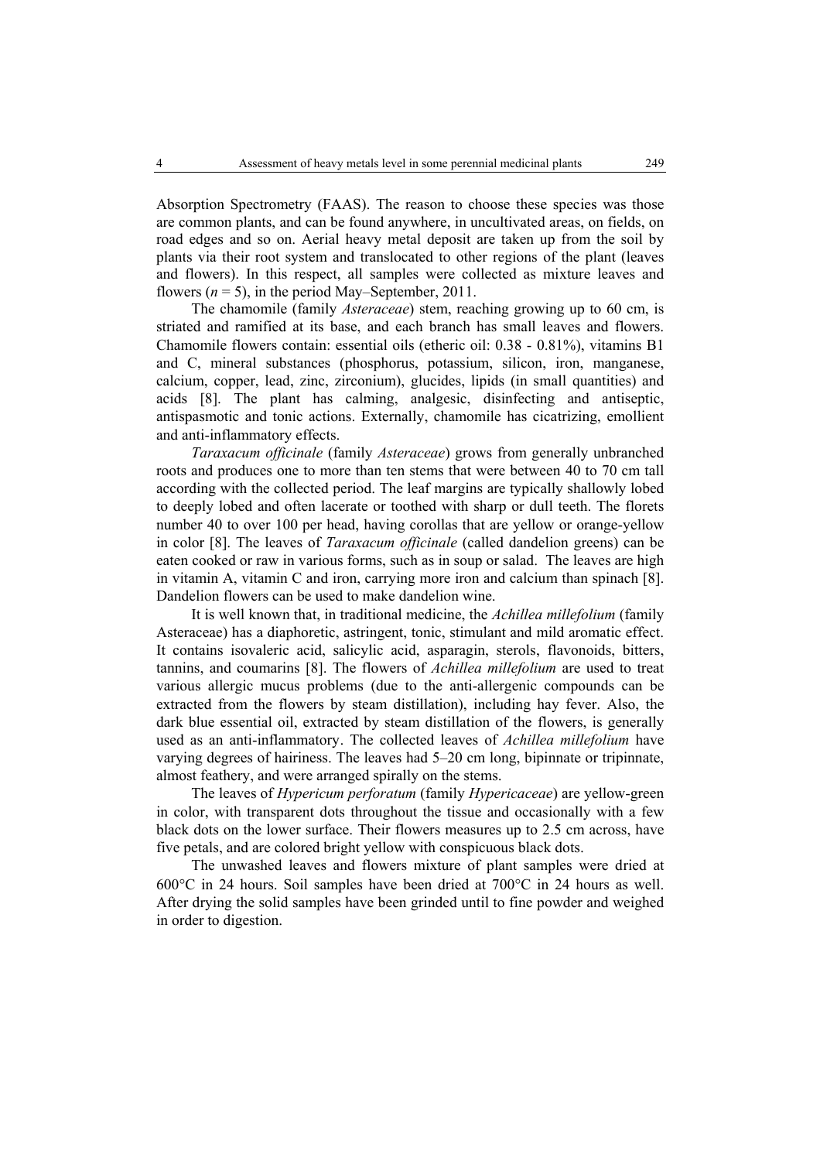Absorption Spectrometry (FAAS). The reason to choose these species was those are common plants, and can be found anywhere, in uncultivated areas, on fields, on road edges and so on. Aerial heavy metal deposit are taken up from the soil by plants via their root system and translocated to other regions of the plant (leaves and flowers). In this respect, all samples were collected as mixture leaves and flowers  $(n = 5)$ , in the period May–September, 2011.

The chamomile (family *Asteraceae*) stem, reaching growing up to 60 cm, is striated and ramified at its base, and each branch has small leaves and flowers. Chamomile flowers contain: essential oils (etheric oil: 0.38 - 0.81%), vitamins B1 and C, mineral substances (phosphorus, potassium, silicon, iron, manganese, calcium, copper, lead, zinc, zirconium), glucides, lipids (in small quantities) and acids [8]. The plant has calming, analgesic, disinfecting and antiseptic, antispasmotic and tonic actions. Externally, chamomile has cicatrizing, emollient and anti-inflammatory effects.

*Taraxacum officinale* (family *Asteraceae*) grows from generally unbranched roots and produces one to more than ten stems that were between 40 to 70 cm tall according with the collected period. The leaf margins are typically shallowly lobed to deeply lobed and often lacerate or toothed with sharp or dull teeth. The florets number 40 to over 100 per head, having corollas that are yellow or orange-yellow in color [8]. The leaves of *Taraxacum officinale* (called dandelion greens) can be eaten cooked or raw in various forms, such as in soup or salad. The leaves are high in vitamin A, vitamin C and iron, carrying more iron and calcium than spinach [8]. Dandelion flowers can be used to make dandelion wine.

It is well known that, in traditional medicine, the *Achillea millefolium* (family Asteraceae) has a diaphoretic, astringent, tonic, stimulant and mild aromatic effect. It contains isovaleric acid, salicylic acid, asparagin, sterols, flavonoids, bitters, tannins, and coumarins [8]. The flowers of *Achillea millefolium* are used to treat various allergic mucus problems (due to the anti-allergenic compounds can be extracted from the flowers by steam distillation), including hay fever. Also, the dark blue essential oil, extracted by steam distillation of the flowers, is generally used as an anti-inflammatory. The collected leaves of *Achillea millefolium* have varying degrees of hairiness. The leaves had 5–20 cm long, bipinnate or tripinnate, almost feathery, and were arranged spirally on the stems.

The leaves of *Hypericum perforatum* (family *Hypericaceae*) are yellow-green in color, with transparent dots throughout the tissue and occasionally with a few black dots on the lower surface. Their flowers measures up to 2.5 cm across, have five petals, and are colored bright yellow with conspicuous black dots.

The unwashed leaves and flowers mixture of plant samples were dried at 600°C in 24 hours. Soil samples have been dried at 700°C in 24 hours as well. After drying the solid samples have been grinded until to fine powder and weighed in order to digestion.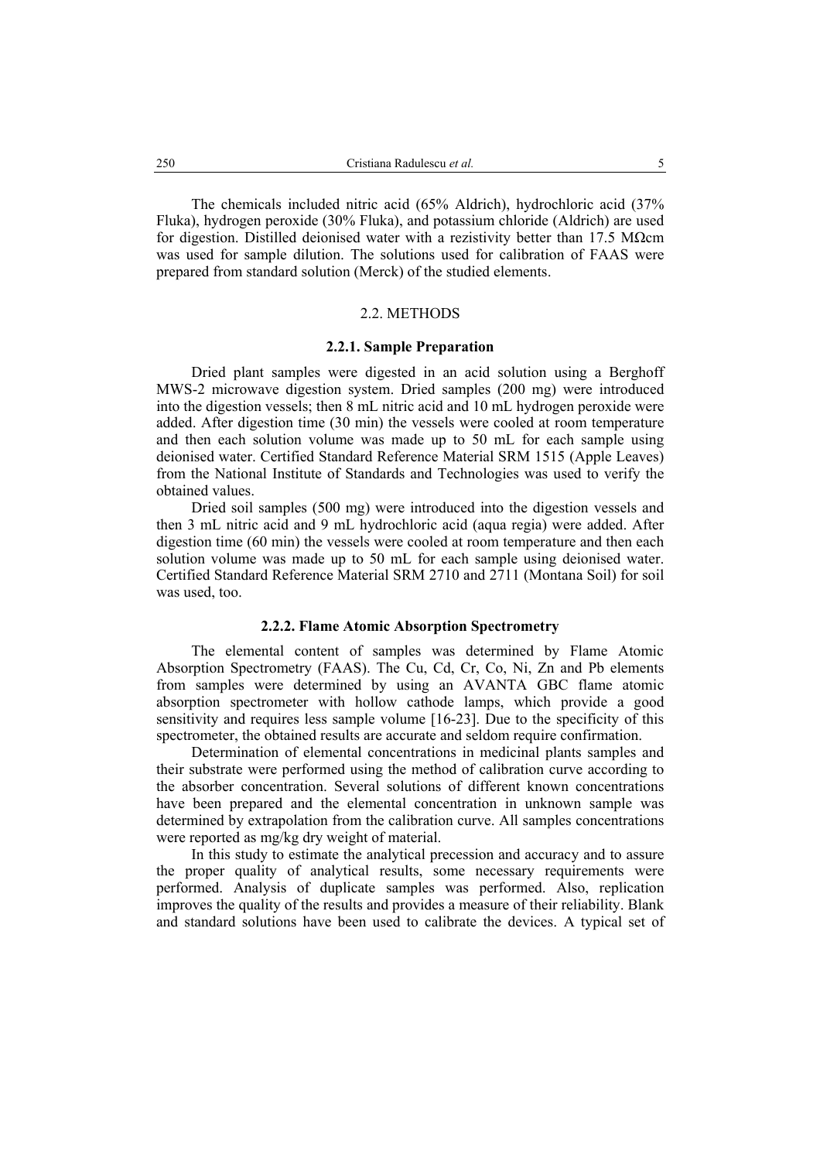The chemicals included nitric acid (65% Aldrich), hydrochloric acid (37% Fluka), hydrogen peroxide (30% Fluka), and potassium chloride (Aldrich) are used for digestion. Distilled deionised water with a rezistivity better than 17.5 MΩcm was used for sample dilution. The solutions used for calibration of FAAS were prepared from standard solution (Merck) of the studied elements.

## 2.2. METHODS

#### **2.2.1. Sample Preparation**

Dried plant samples were digested in an acid solution using a Berghoff MWS-2 microwave digestion system. Dried samples (200 mg) were introduced into the digestion vessels; then 8 mL nitric acid and 10 mL hydrogen peroxide were added. After digestion time (30 min) the vessels were cooled at room temperature and then each solution volume was made up to 50 mL for each sample using deionised water. Certified Standard Reference Material SRM 1515 (Apple Leaves) from the National Institute of Standards and Technologies was used to verify the obtained values.

Dried soil samples (500 mg) were introduced into the digestion vessels and then 3 mL nitric acid and 9 mL hydrochloric acid (aqua regia) were added. After digestion time (60 min) the vessels were cooled at room temperature and then each solution volume was made up to 50 mL for each sample using deionised water. Certified Standard Reference Material SRM 2710 and 2711 (Montana Soil) for soil was used, too.

## **2.2.2. Flame Atomic Absorption Spectrometry**

The elemental content of samples was determined by Flame Atomic Absorption Spectrometry (FAAS). The Cu, Cd, Cr, Co, Ni, Zn and Pb elements from samples were determined by using an AVANTA GBC flame atomic absorption spectrometer with hollow cathode lamps, which provide a good sensitivity and requires less sample volume [16-23]. Due to the specificity of this spectrometer, the obtained results are accurate and seldom require confirmation.

Determination of elemental concentrations in medicinal plants samples and their substrate were performed using the method of calibration curve according to the absorber concentration. Several solutions of different known concentrations have been prepared and the elemental concentration in unknown sample was determined by extrapolation from the calibration curve. All samples concentrations were reported as mg/kg dry weight of material.

In this study to estimate the analytical precession and accuracy and to assure the proper quality of analytical results, some necessary requirements were performed. Analysis of duplicate samples was performed. Also, replication improves the quality of the results and provides a measure of their reliability. Blank and standard solutions have been used to calibrate the devices. A typical set of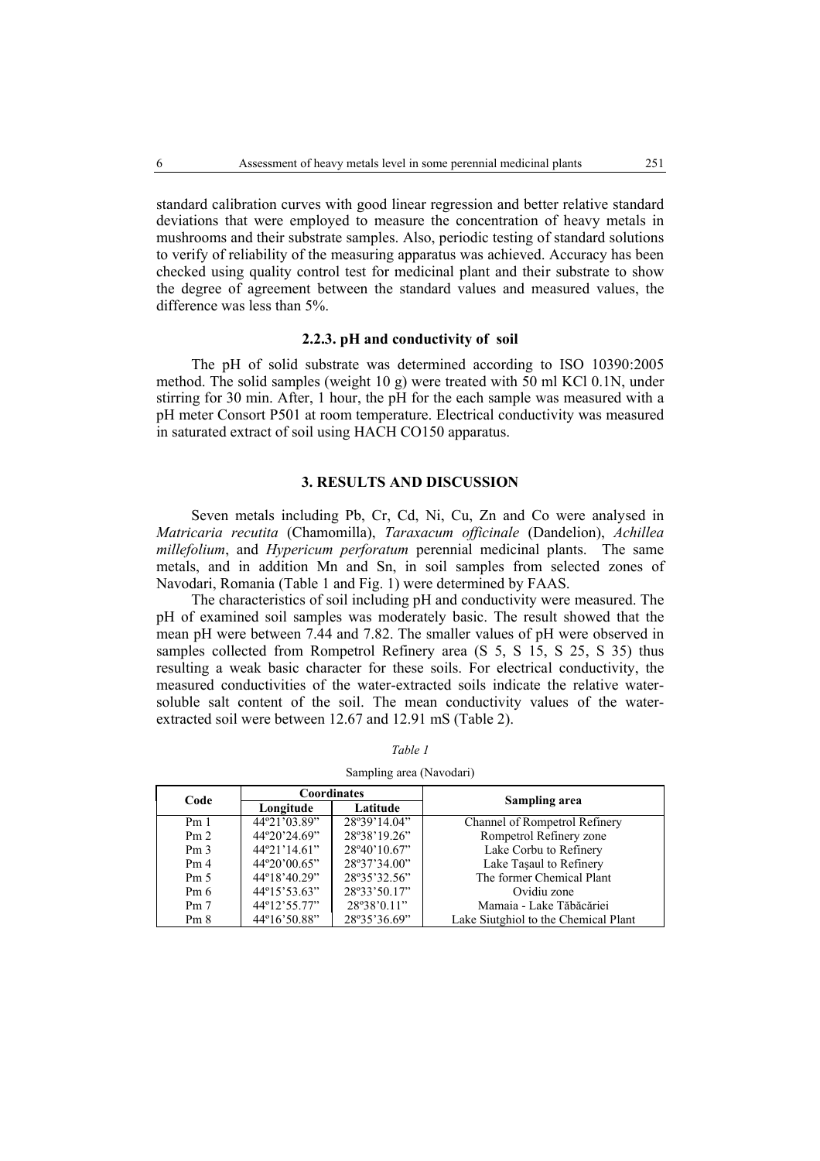standard calibration curves with good linear regression and better relative standard deviations that were employed to measure the concentration of heavy metals in mushrooms and their substrate samples. Also, periodic testing of standard solutions to verify of reliability of the measuring apparatus was achieved. Accuracy has been checked using quality control test for medicinal plant and their substrate to show the degree of agreement between the standard values and measured values, the difference was less than 5%.

## **2.2.3. pH and conductivity of soil**

The pH of solid substrate was determined according to ISO 10390:2005 method. The solid samples (weight 10 g) were treated with 50 ml KCl 0.1N, under stirring for 30 min. After, 1 hour, the pH for the each sample was measured with a pH meter Consort P501 at room temperature. Electrical conductivity was measured in saturated extract of soil using HACH CO150 apparatus.

# **3. RESULTS AND DISCUSSION**

Seven metals including Pb, Cr, Cd, Ni, Cu, Zn and Co were analysed in *Matricaria recutita* (Chamomilla), *Taraxacum officinale* (Dandelion), *Achillea millefolium*, and *Hypericum perforatum* perennial medicinal plants. The same metals, and in addition Mn and Sn, in soil samples from selected zones of Navodari, Romania (Table 1 and Fig. 1) were determined by FAAS.

The characteristics of soil including pH and conductivity were measured. The pH of examined soil samples was moderately basic. The result showed that the mean pH were between 7.44 and 7.82. The smaller values of pH were observed in samples collected from Rompetrol Refinery area  $(S\ 5, \ S\ 15, \ S\ 25, \ S\ 35)$  thus resulting a weak basic character for these soils. For electrical conductivity, the measured conductivities of the water-extracted soils indicate the relative watersoluble salt content of the soil. The mean conductivity values of the waterextracted soil were between 12.67 and 12.91 mS (Table 2).

| Code            |                                                | <b>Coordinates</b> | Sampling area                        |  |  |  |
|-----------------|------------------------------------------------|--------------------|--------------------------------------|--|--|--|
|                 | Longitude                                      | Latitude           |                                      |  |  |  |
| Pm <sub>1</sub> | 44°21'03.89"                                   | 28°39'14.04"       | Channel of Rompetrol Refinery        |  |  |  |
| Pm <sub>2</sub> | 28°38'19.26"<br>44°20'24.69"                   |                    | Rompetrol Refinery zone              |  |  |  |
| Pm <sub>3</sub> | $44^{\circ}21'14.61"$<br>$28^{\circ}40'10.67"$ |                    | Lake Corbu to Refinery               |  |  |  |
| Pm <sub>4</sub> | 44°20'00.65"                                   | 28°37'34.00"       | Lake Taşaul to Refinery              |  |  |  |
| Pm <sub>5</sub> | 44°18'40.29"                                   | 28°35'32.56"       | The former Chemical Plant            |  |  |  |
| Pm <sub>6</sub> | $44^{\circ}15'53.63"$                          | 28°33'50.17"       | Ovidiu zone                          |  |  |  |
| Pm <sub>7</sub> | 44°12'55.77"                                   | 28°38'0.11"        | Mamaia - Lake Tăbăcăriei             |  |  |  |
| Pm <sub>8</sub> | 44°16'50.88"<br>28°35'36.69"                   |                    | Lake Siutghiol to the Chemical Plant |  |  |  |

*Table 1* 

Sampling area (Navodari)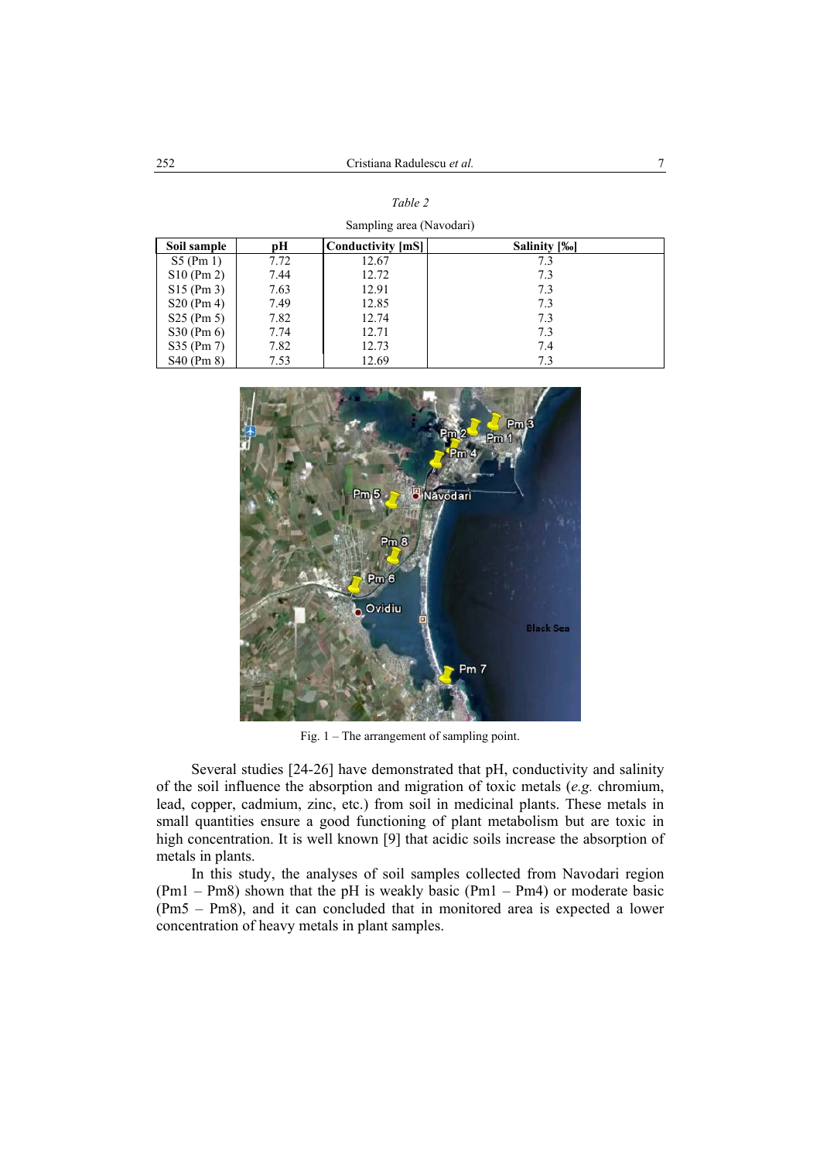*Table 2* 

| Sampling area (Navodari) |      |                          |              |  |  |  |  |  |
|--------------------------|------|--------------------------|--------------|--|--|--|--|--|
| Soil sample              | pН   | <b>Conductivity [mS]</b> | Salinity [‰] |  |  |  |  |  |
| $S5$ (Pm 1)              | 7.72 | 12.67                    | 7.3          |  |  |  |  |  |
| $S10$ (Pm 2)             | 7.44 | 12.72                    | 7.3          |  |  |  |  |  |
| $S15$ (Pm 3)             | 7.63 | 12.91                    | 7.3          |  |  |  |  |  |
| $S20$ (Pm 4)             | 7.49 | 12.85                    | 7.3          |  |  |  |  |  |
| $S25$ (Pm 5)             | 7.82 | 12.74                    | 7.3          |  |  |  |  |  |
| S30 (Pm 6)               | 7.74 | 12.71                    | 7.3          |  |  |  |  |  |
| S35 (Pm 7)               | 7.82 | 12.73                    | 7.4          |  |  |  |  |  |
| S40 (Pm 8)               | 7.53 | 12.69                    | 7.3          |  |  |  |  |  |



Fig. 1 – The arrangement of sampling point.

 $Pm<sub>7</sub>$ 

Several studies [24-26] have demonstrated that pH, conductivity and salinity of the soil influence the absorption and migration of toxic metals (*e.g.* chromium, lead, copper, cadmium, zinc, etc.) from soil in medicinal plants. These metals in small quantities ensure a good functioning of plant metabolism but are toxic in high concentration. It is well known [9] that acidic soils increase the absorption of metals in plants.

In this study, the analyses of soil samples collected from Navodari region  $(Pm1 - Pm8)$  shown that the pH is weakly basic  $(Pm1 - Pm4)$  or moderate basic (Pm5 – Pm8), and it can concluded that in monitored area is expected a lower concentration of heavy metals in plant samples.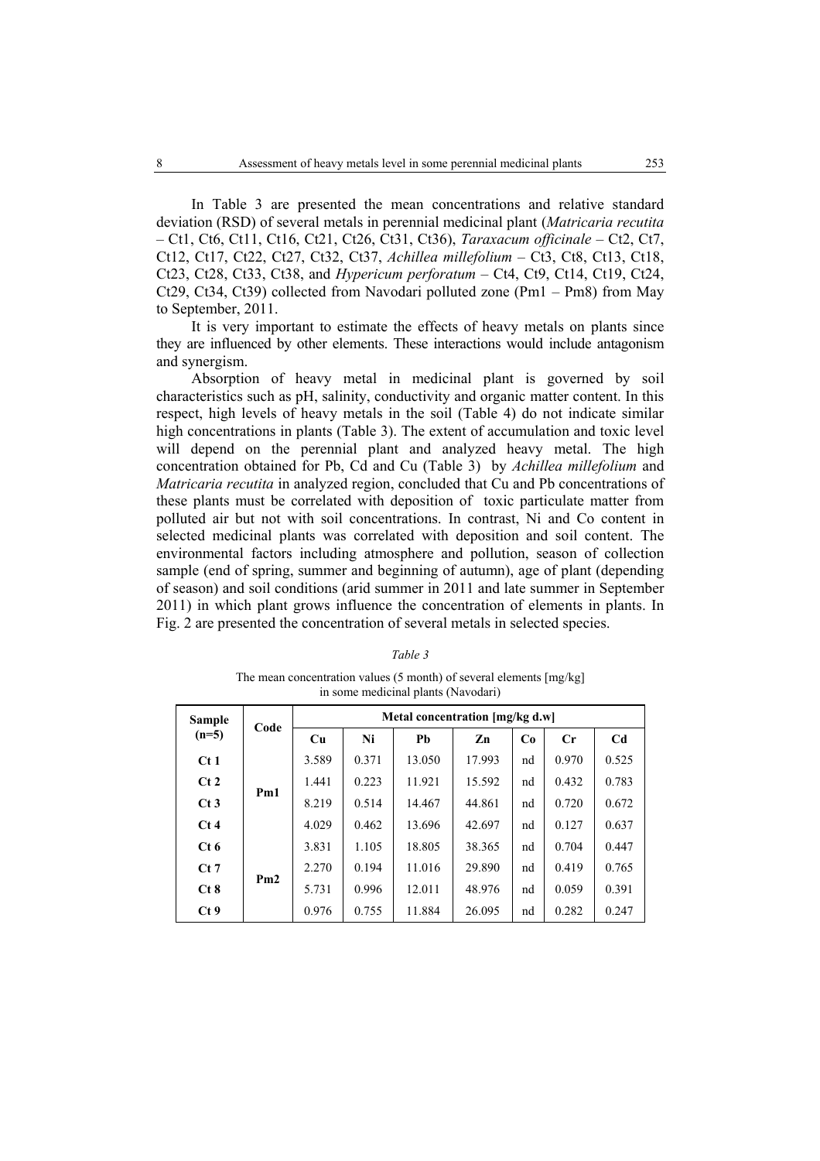In Table 3 are presented the mean concentrations and relative standard deviation (RSD) of several metals in perennial medicinal plant (*Matricaria recutita* – Ct1, Ct6, Ct11, Ct16, Ct21, Ct26, Ct31, Ct36), *Taraxacum officinale* – Ct2, Ct7, Ct12, Ct17, Ct22, Ct27, Ct32, Ct37, *Achillea millefolium* – Ct3, Ct8, Ct13, Ct18, Ct23, Ct28, Ct33, Ct38, and *Hypericum perforatum* – Ct4, Ct9, Ct14, Ct19, Ct24, Ct29, Ct34, Ct39) collected from Navodari polluted zone (Pm1 – Pm8) from May to September, 2011.

It is very important to estimate the effects of heavy metals on plants since they are influenced by other elements. These interactions would include antagonism and synergism.

Absorption of heavy metal in medicinal plant is governed by soil characteristics such as pH, salinity, conductivity and organic matter content. In this respect, high levels of heavy metals in the soil (Table 4) do not indicate similar high concentrations in plants (Table 3). The extent of accumulation and toxic level will depend on the perennial plant and analyzed heavy metal. The high concentration obtained for Pb, Cd and Cu (Table 3) by *Achillea millefolium* and *Matricaria recutita* in analyzed region, concluded that Cu and Pb concentrations of these plants must be correlated with deposition of toxic particulate matter from polluted air but not with soil concentrations. In contrast, Ni and Co content in selected medicinal plants was correlated with deposition and soil content. The environmental factors including atmosphere and pollution, season of collection sample (end of spring, summer and beginning of autumn), age of plant (depending of season) and soil conditions (arid summer in 2011 and late summer in September 2011) in which plant grows influence the concentration of elements in plants. In Fig. 2 are presented the concentration of several metals in selected species.

| in some medicinal plants (Navodari) |      |                                 |       |        |        |    |       |                |  |  |
|-------------------------------------|------|---------------------------------|-------|--------|--------|----|-------|----------------|--|--|
| <b>Sample</b><br>$(n=5)$            | Code | Metal concentration [mg/kg d.w] |       |        |        |    |       |                |  |  |
|                                     |      | Cu                              | Ni    | Pb     | Zn     | Co | Cr    | C <sub>d</sub> |  |  |
| Ct1                                 | Pm1  | 3.589                           | 0.371 | 13.050 | 17.993 | nd | 0.970 | 0.525          |  |  |
| Ct2                                 |      | 1.441                           | 0.223 | 11.921 | 15.592 | nd | 0.432 | 0.783          |  |  |
| Ct3                                 |      | 8.219                           | 0.514 | 14.467 | 44.861 | nd | 0.720 | 0.672          |  |  |
| Ct4                                 |      | 4.029                           | 0.462 | 13.696 | 42.697 | nd | 0.127 | 0.637          |  |  |
| Ct6                                 |      | 3.831                           | 1.105 | 18.805 | 38.365 | nd | 0.704 | 0.447          |  |  |
| $Ct$ 7                              |      | 2.270                           | 0.194 | 11.016 | 29.890 | nd | 0.419 | 0.765          |  |  |
| Ct8                                 | Pm2  | 5.731                           | 0.996 | 12.011 | 48.976 | nd | 0.059 | 0.391          |  |  |
| Ct9                                 |      | 0.976                           | 0.755 | 11.884 | 26.095 | nd | 0.282 | 0.247          |  |  |

*Table 3*  The mean concentration values (5 month) of several elements [mg/kg]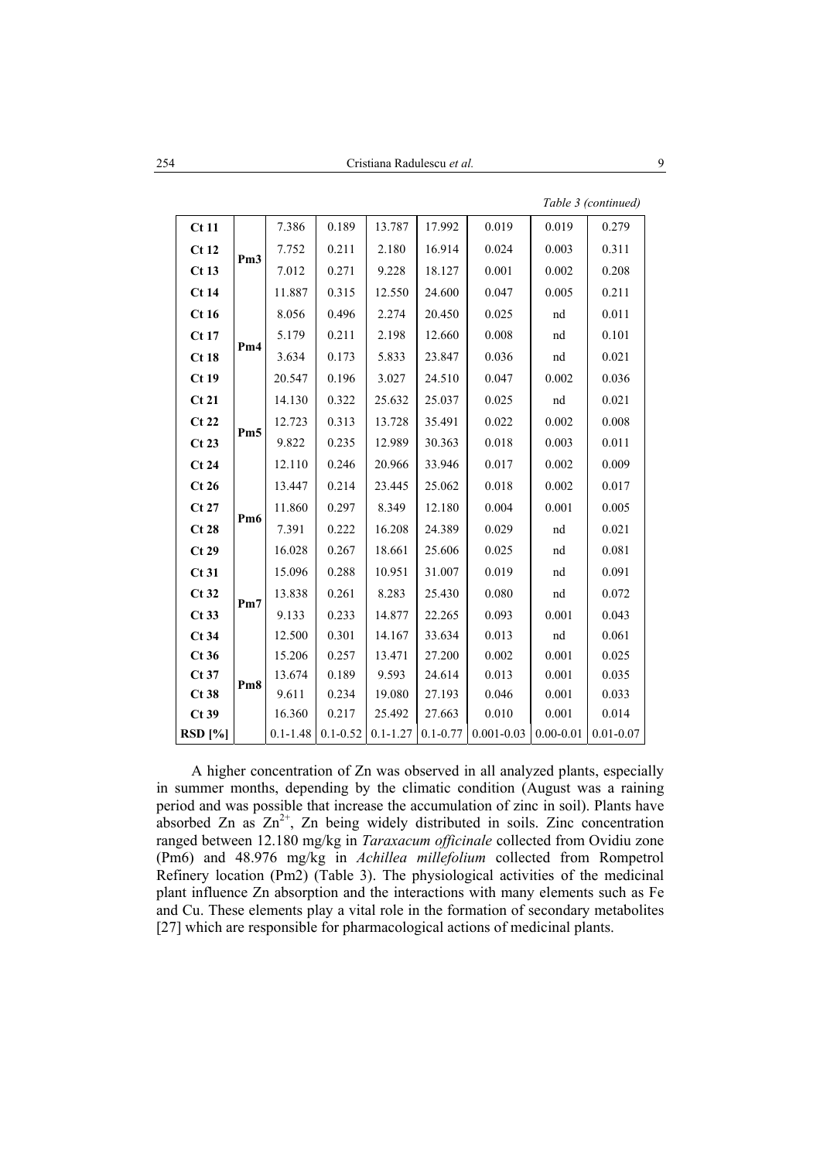|                           |                 |                        |                       |                        |                        |                         |                        | Table 3 (continued)    |
|---------------------------|-----------------|------------------------|-----------------------|------------------------|------------------------|-------------------------|------------------------|------------------------|
| Ct11                      |                 | 7.386                  | 0.189                 | 13.787                 | 17.992                 | 0.019                   | 0.019                  | 0.279                  |
| Ct12                      |                 | 7.752                  | 0.211                 | 2.180                  | 16.914                 | 0.024                   | 0.003                  | 0.311                  |
| Ct13                      | Pm <sub>3</sub> | 7.012                  | 0.271                 | 9.228                  | 18.127                 | 0.001                   | 0.002                  | 0.208                  |
| Ct14                      |                 | 11.887                 | 0.315                 | 12.550                 | 24.600                 | 0.047                   | 0.005                  | 0.211                  |
| Ct16                      |                 | 8.056                  | 0.496                 | 2.274                  | 20.450                 | 0.025                   | nd                     | 0.011                  |
| Ct17                      |                 | 5.179                  | 0.211                 | 2.198                  | 12.660                 | 0.008                   | nd                     | 0.101                  |
| Ct18                      | Pm4             | 3.634                  | 0.173                 | 5.833                  | 23.847                 | 0.036                   | nd                     | 0.021                  |
| Ct19                      |                 | 20.547                 | 0.196                 | 3.027                  | 24.510                 | 0.047                   | 0.002                  | 0.036                  |
| Ct21                      |                 | 14.130                 | 0.322                 | 25.632                 | 25.037                 | 0.025                   | nd                     | 0.021                  |
| Ct22                      |                 | 12.723                 | 0.313                 | 13.728                 | 35.491                 | 0.022                   | 0.002                  | 0.008                  |
| Ct23                      | Pm5             | 9.822                  | 0.235                 | 12.989                 | 30.363                 | 0.018                   | 0.003                  | 0.011                  |
| Ct24                      |                 | 12.110                 | 0.246                 | 20.966                 | 33.946                 | 0.017                   | 0.002                  | 0.009                  |
| Ct26                      |                 | 13.447                 | 0.214                 | 23.445                 | 25.062                 | 0.018                   | 0.002                  | 0.017                  |
| Ct27                      | Pm <sub>6</sub> | 11.860                 | 0.297                 | 8.349                  | 12.180                 | 0.004                   | 0.001                  | 0.005                  |
| Ct28                      |                 | 7.391                  | 0.222                 | 16.208                 | 24.389                 | 0.029                   | nd                     | 0.021                  |
| Ct29                      |                 | 16.028                 | 0.267                 | 18.661                 | 25.606                 | 0.025                   | nd                     | 0.081                  |
| Ct31                      |                 | 15.096                 | 0.288                 | 10.951                 | 31.007                 | 0.019                   | nd                     | 0.091                  |
| Ct32                      | Pm7             | 13.838                 | 0.261                 | 8.283                  | 25.430                 | 0.080                   | nd                     | 0.072                  |
| Ct33                      |                 | 9.133                  | 0.233                 | 14.877                 | 22.265                 | 0.093                   | 0.001                  | 0.043                  |
| Ct34                      |                 | 12.500                 | 0.301                 | 14.167                 | 33.634                 | 0.013                   | nd                     | 0.061                  |
| Ct36                      |                 | 15.206                 | 0.257                 | 13.471                 | 27.200                 | 0.002                   | 0.001                  | 0.025                  |
| $Ct$ 37                   | Pm <sub>8</sub> | 13.674                 | 0.189                 | 9.593                  | 24.614                 | 0.013                   | 0.001                  | 0.035                  |
| Ct38                      |                 | 9.611                  | 0.234                 | 19.080                 | 27.193                 | 0.046                   | 0.001                  | 0.033                  |
| $Ct$ 39<br><b>RSD</b> [%] |                 | 16.360<br>$0.1 - 1.48$ | 0.217<br>$0.1 - 0.52$ | 25.492<br>$0.1 - 1.27$ | 27.663<br>$0.1 - 0.77$ | 0.010<br>$0.001 - 0.03$ | 0.001<br>$0.00 - 0.01$ | 0.014<br>$0.01 - 0.07$ |
|                           |                 |                        |                       |                        |                        |                         |                        |                        |

A higher concentration of Zn was observed in all analyzed plants, especially in summer months, depending by the climatic condition (August was a raining period and was possible that increase the accumulation of zinc in soil). Plants have absorbed Zn as  $Zn^{2+}$ , Zn being widely distributed in soils. Zinc concentration ranged between 12.180 mg/kg in *Taraxacum officinale* collected from Ovidiu zone (Pm6) and 48.976 mg/kg in *Achillea millefolium* collected from Rompetrol Refinery location (Pm2) (Table 3). The physiological activities of the medicinal plant influence Zn absorption and the interactions with many elements such as Fe and Cu. These elements play a vital role in the formation of secondary metabolites [27] which are responsible for pharmacological actions of medicinal plants.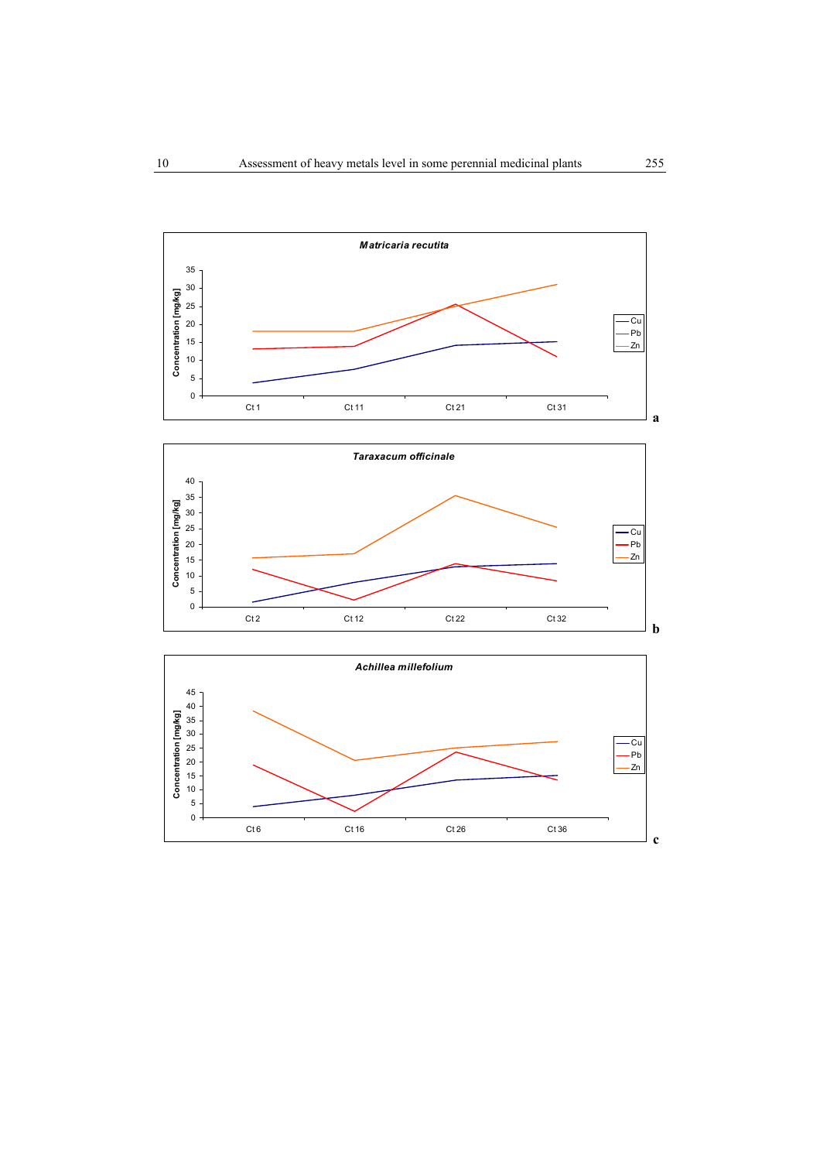



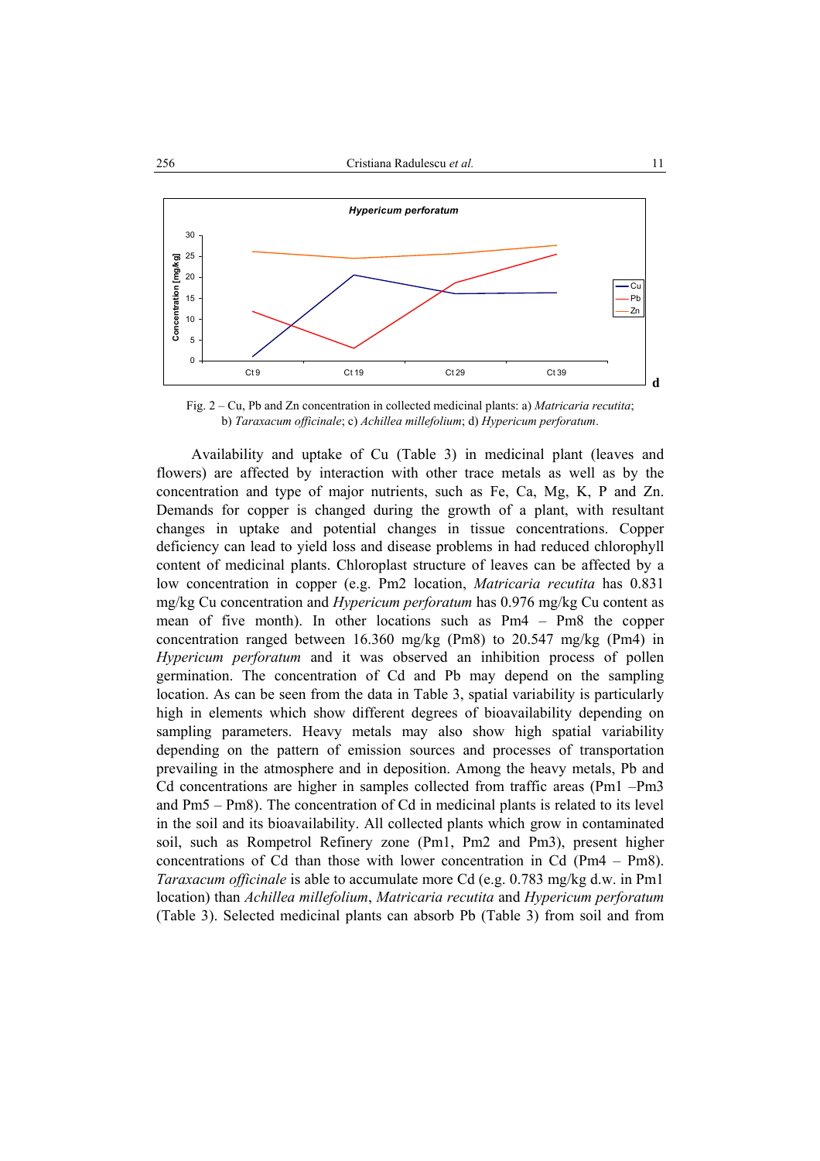

Fig. 2 – Cu, Pb and Zn concentration in collected medicinal plants: a) *Matricaria recutita*; b) *Taraxacum officinale*; c) *Achillea millefolium*; d) *Hypericum perforatum*.

Availability and uptake of Cu (Table 3) in medicinal plant (leaves and flowers) are affected by interaction with other trace metals as well as by the concentration and type of major nutrients, such as Fe, Ca, Mg, K, P and Zn. Demands for copper is changed during the growth of a plant, with resultant changes in uptake and potential changes in tissue concentrations. Copper deficiency can lead to yield loss and disease problems in had reduced chlorophyll content of medicinal plants. Chloroplast structure of leaves can be affected by a low concentration in copper (e.g. Pm2 location, *Matricaria recutita* has 0.831 mg/kg Cu concentration and *Hypericum perforatum* has 0.976 mg/kg Cu content as mean of five month). In other locations such as Pm4 – Pm8 the copper concentration ranged between 16.360 mg/kg (Pm8) to 20.547 mg/kg (Pm4) in *Hypericum perforatum* and it was observed an inhibition process of pollen germination. The concentration of Cd and Pb may depend on the sampling location. As can be seen from the data in Table 3, spatial variability is particularly high in elements which show different degrees of bioavailability depending on sampling parameters. Heavy metals may also show high spatial variability depending on the pattern of emission sources and processes of transportation prevailing in the atmosphere and in deposition. Among the heavy metals, Pb and Cd concentrations are higher in samples collected from traffic areas (Pm1 –Pm3 and Pm5 – Pm8). The concentration of Cd in medicinal plants is related to its level in the soil and its bioavailability. All collected plants which grow in contaminated soil, such as Rompetrol Refinery zone (Pm1, Pm2 and Pm3), present higher concentrations of Cd than those with lower concentration in Cd (Pm4 – Pm8). *Taraxacum officinale* is able to accumulate more Cd (e.g. 0.783 mg/kg d.w. in Pm1 location) than *Achillea millefolium*, *Matricaria recutita* and *Hypericum perforatum* (Table 3). Selected medicinal plants can absorb Pb (Table 3) from soil and from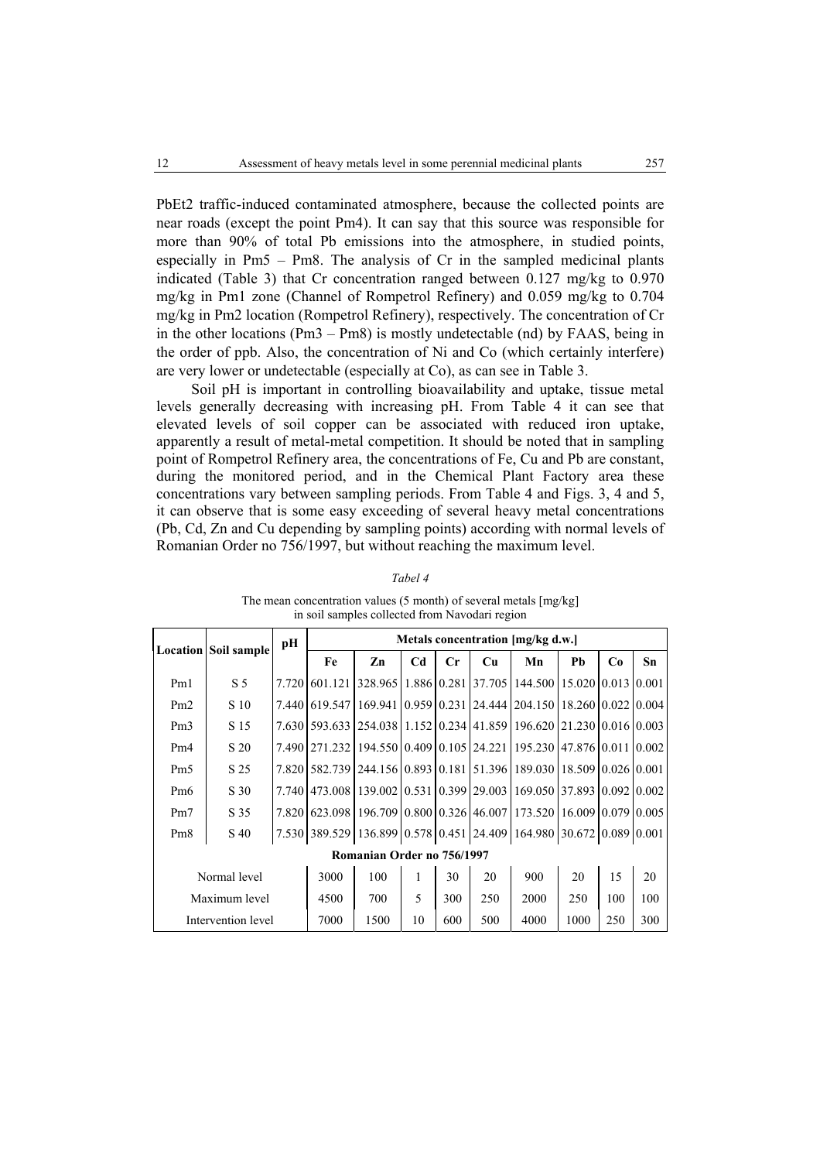PbEt2 traffic-induced contaminated atmosphere, because the collected points are near roads (except the point Pm4). It can say that this source was responsible for more than 90% of total Pb emissions into the atmosphere, in studied points, especially in Pm5 – Pm8. The analysis of Cr in the sampled medicinal plants indicated (Table 3) that Cr concentration ranged between 0.127 mg/kg to 0.970 mg/kg in Pm1 zone (Channel of Rompetrol Refinery) and 0.059 mg/kg to 0.704 mg/kg in Pm2 location (Rompetrol Refinery), respectively. The concentration of Cr in the other locations (Pm3 – Pm8) is mostly undetectable (nd) by FAAS, being in the order of ppb. Also, the concentration of Ni and Co (which certainly interfere) are very lower or undetectable (especially at Co), as can see in Table 3.

Soil pH is important in controlling bioavailability and uptake, tissue metal levels generally decreasing with increasing pH. From Table 4 it can see that elevated levels of soil copper can be associated with reduced iron uptake, apparently a result of metal-metal competition. It should be noted that in sampling point of Rompetrol Refinery area, the concentrations of Fe, Cu and Pb are constant, during the monitored period, and in the Chemical Plant Factory area these concentrations vary between sampling periods. From Table 4 and Figs. 3, 4 and 5, it can observe that is some easy exceeding of several heavy metal concentrations (Pb, Cd, Zn and Cu depending by sampling points) according with normal levels of Romanian Order no 756/1997, but without reaching the maximum level.

|                                   | <b>Location Soil sample</b> | pН    | Metals concentration [mg/kg d.w.]                                                   |                            |                |                |                    |                                                       |      |     |         |
|-----------------------------------|-----------------------------|-------|-------------------------------------------------------------------------------------|----------------------------|----------------|----------------|--------------------|-------------------------------------------------------|------|-----|---------|
|                                   |                             |       | Fe                                                                                  | Zn                         | C <sub>d</sub> | $\mathbf{C}$ r | Cu                 | Mn                                                    | Pb   | Co  | $S_{n}$ |
| Pm1                               | S <sub>5</sub>              | 7.720 | 601.121                                                                             | 328.965                    |                |                | 1.886 0.281 37.705 | 144.500   15.020   0.013   0.001                      |      |     |         |
| Pm2                               | S 10                        | 7.440 | 619.547                                                                             |                            |                |                |                    | 169.941 0.959 0.231 24.444 204.150 18.260 0.022 0.004 |      |     |         |
| Pm3                               | S 15                        |       | 7.630 593.633                                                                       |                            |                |                |                    | 254.038 1.152 0.234 41.859 196.620 21.230 0.016 0.003 |      |     |         |
| Pm4                               | S 20                        | 7.490 | 271.232                                                                             | 194.550 0.409 0.105 24.221 |                |                |                    | 195.230 47.876 0.011 0.002                            |      |     |         |
| Pm <sub>5</sub>                   | S 25                        | 7.820 | 582.739                                                                             | 244.156 0.893 0.181 51.396 |                |                |                    | 189.030 18.509 0.026 0.001                            |      |     |         |
| Pm <sub>6</sub>                   | S 30                        | 7.740 | 473.008                                                                             | 139.002 0.531 0.399 29.003 |                |                |                    | 169.050 37.893 0.092 0.002                            |      |     |         |
| Pm7                               | S 35                        | 7.820 | 623.098                                                                             |                            |                |                |                    | 196.709 0.800 0.326 46.007 173.520 16.009 0.079 0.005 |      |     |         |
| Pm <sub>8</sub>                   | S 40                        |       | 7.530 389.529   136.899   0.578   0.451   24.409   164.980   30.672   0.089   0.001 |                            |                |                |                    |                                                       |      |     |         |
| <b>Romanian Order no 756/1997</b> |                             |       |                                                                                     |                            |                |                |                    |                                                       |      |     |         |
| Normal level                      |                             |       | 3000                                                                                | 100                        | 1              | 30             | 20                 | 900                                                   | 20   | 15  | 20      |
| Maximum level                     |                             |       | 4500                                                                                | 700                        | 5              | 300            | 250                | 2000                                                  | 250  | 100 | 100     |
| Intervention level                |                             |       | 7000                                                                                | 1500                       | 10             | 600            | 500                | 4000                                                  | 1000 | 250 | 300     |

#### *Tabel 4*

The mean concentration values (5 month) of several metals [mg/kg] in soil samples collected from Navodari region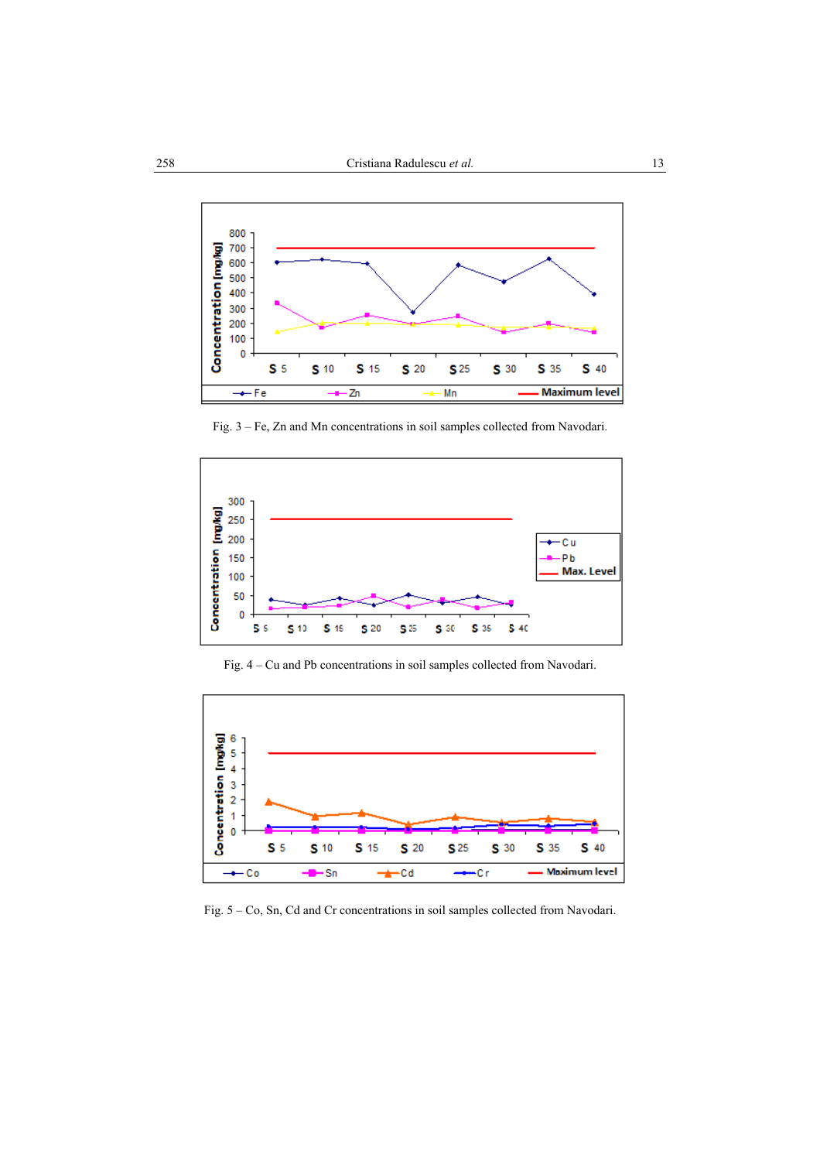

Fig. 3 – Fe, Zn and Mn concentrations in soil samples collected from Navodari.



Fig. 4 – Cu and Pb concentrations in soil samples collected from Navodari.



Fig. 5 – Co, Sn, Cd and Cr concentrations in soil samples collected from Navodari.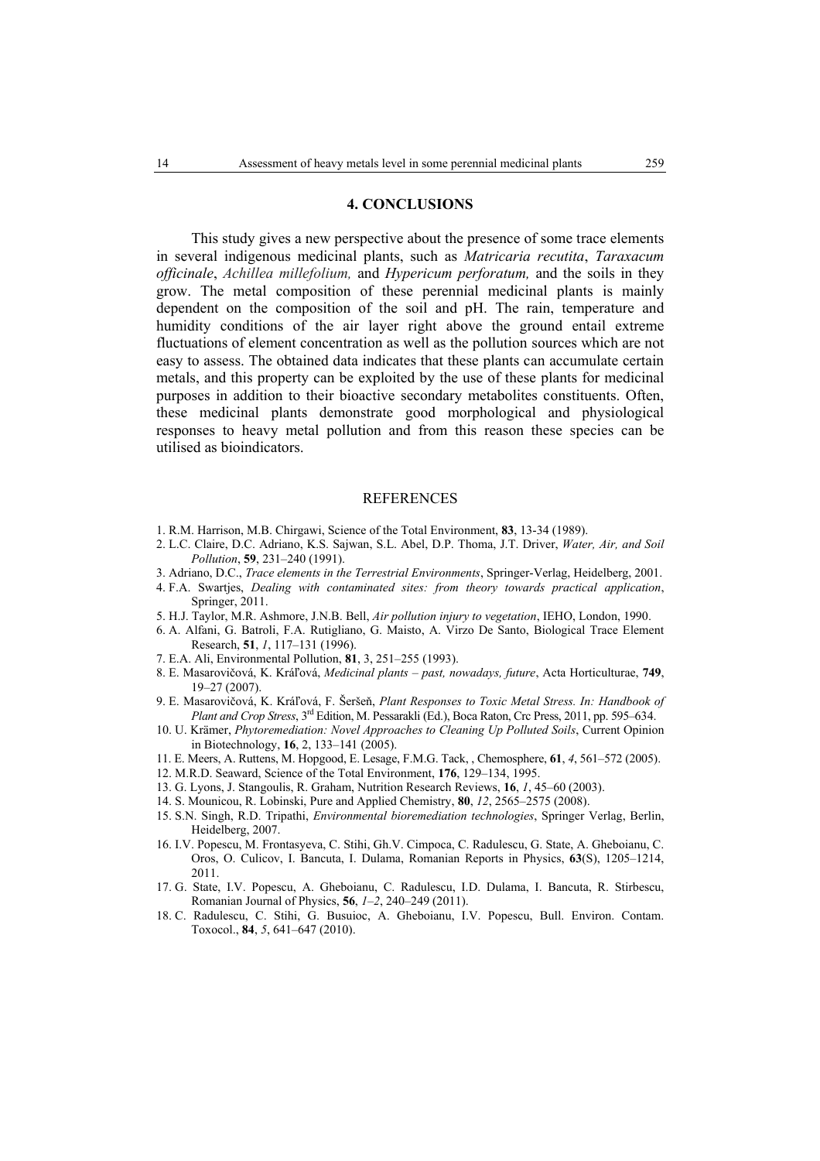## **4. CONCLUSIONS**

This study gives a new perspective about the presence of some trace elements in several indigenous medicinal plants, such as *Matricaria recutita*, *Taraxacum officinale*, *Achillea millefolium,* and *Hypericum perforatum,* and the soils in they grow. The metal composition of these perennial medicinal plants is mainly dependent on the composition of the soil and pH. The rain, temperature and humidity conditions of the air layer right above the ground entail extreme fluctuations of element concentration as well as the pollution sources which are not easy to assess. The obtained data indicates that these plants can accumulate certain metals, and this property can be exploited by the use of these plants for medicinal purposes in addition to their bioactive secondary metabolites constituents. Often, these medicinal plants demonstrate good morphological and physiological responses to heavy metal pollution and from this reason these species can be utilised as bioindicators.

#### REFERENCES

- 1. R.M. Harrison, M.B. Chirgawi, Science of the Total Environment, **83**, 13-34 (1989).
- 2. L.C. Claire, D.C. Adriano, K.S. Sajwan, S.L. Abel, D.P. Thoma, J.T. Driver, *Water, Air, and Soil Pollution*, **59**, 231–240 (1991).
- 3. Adriano, D.C., *Trace elements in the Terrestrial Environments*, Springer-Verlag, Heidelberg, 2001.
- 4. F.A. Swartjes, *Dealing with contaminated sites: from theory towards practical application*, Springer, 2011.
- 5. H.J. Taylor, M.R. Ashmore, J.N.B. Bell, *Air pollution injury to vegetation*, IEHO, London, 1990.
- 6. A. Alfani, G. Batroli, F.A. Rutigliano, G. Maisto, A. Virzo De Santo, Biological Trace Element Research, **51**, *1*, 117–131 (1996).
- 7. E.A. Ali, Environmental Pollution, **81**, 3, 251–255 (1993).
- 8. E. Masarovičová, K. Kráľová, *Medicinal plants past, nowadays, future*, Acta Horticulturae, **749**, 19–27 (2007).
- 9. E. Masarovičová, K. Kráľová, F. Šeršeň, *Plant Responses to Toxic Metal Stress. In: Handbook of Plant and Crop Stress*, 3rd Edition, M. Pessarakli (Ed.), Boca Raton, Crc Press, 2011, pp. 595–634.
- 10. U. Krämer, *Phytoremediation: Novel Approaches to Cleaning Up Polluted Soils*, Current Opinion in Biotechnology, **16**, 2, 133–141 (2005).
- 11. E. Meers, A. Ruttens, M. Hopgood, E. Lesage, F.M.G. Tack, , Chemosphere, **61**, *4*, 561–572 (2005).
- 12. M.R.D. Seaward, Science of the Total Environment, **176**, 129–134, 1995.
- 13. G. Lyons, J. Stangoulis, R. Graham, Nutrition Research Reviews, **16**, *1*, 45–60 (2003).
- 14. S. Mounicou, R. Lobinski, Pure and Applied Chemistry, **80**, *12*, 2565–2575 (2008).
- 15. S.N. Singh, R.D. Tripathi, *Environmental bioremediation technologies*, Springer Verlag, Berlin, Heidelberg, 2007.
- 16. I.V. Popescu, M. Frontasyeva, C. Stihi, Gh.V. Cimpoca, C. Radulescu, G. State, A. Gheboianu, C. Oros, O. Culicov, I. Bancuta, I. Dulama, Romanian Reports in Physics, **63**(S), 1205–1214, 2011.
- 17. G. State, I.V. Popescu, A. Gheboianu, C. Radulescu, I.D. Dulama, I. Bancuta, R. Stirbescu, Romanian Journal of Physics, **56**, *1*–*2*, 240–249 (2011).
- 18. C. Radulescu, C. Stihi, G. Busuioc, A. Gheboianu, I.V. Popescu, Bull. Environ. Contam. Toxocol., **84**, *5*, 641–647 (2010).